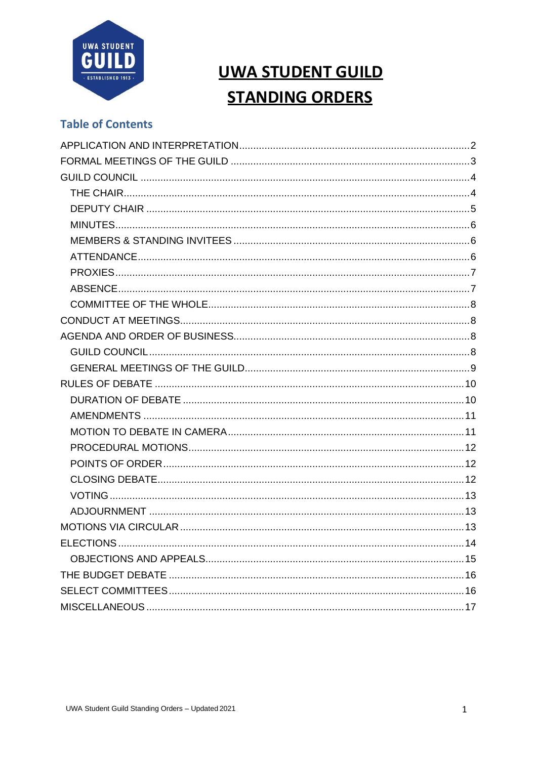

## **UWA STUDENT GUILD STANDING ORDERS**

## **Table of Contents**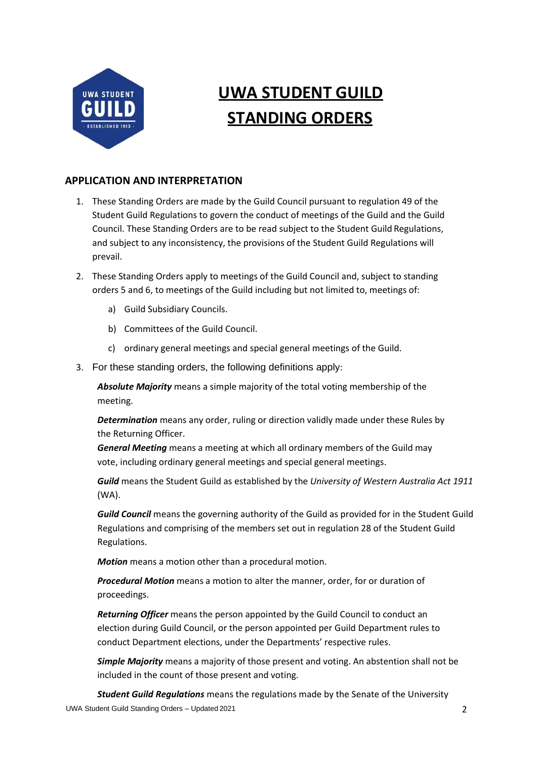

# **UWA STUDENT GUILD STANDING ORDERS**

## <span id="page-1-0"></span>**APPLICATION AND INTERPRETATION**

- 1. These Standing Orders are made by the Guild Council pursuant to regulation 49 of the Student Guild Regulations to govern the conduct of meetings of the Guild and the Guild Council. These Standing Orders are to be read subject to the Student Guild Regulations, and subject to any inconsistency, the provisions of the Student Guild Regulations will prevail.
- 2. These Standing Orders apply to meetings of the Guild Council and, subject to standing orders [5](#page-3-2) and [6,](#page-3-3) to meetings of the Guild including but not limited to, meetings of:
	- a) Guild Subsidiary Councils.
	- b) Committees of the Guild Council.
	- c) ordinary general meetings and special general meetings of the Guild.
- 3. For these standing orders, the following definitions apply:

*Absolute Majority* means a simple majority of the total voting membership of the meeting.

*Determination* means any order, ruling or direction validly made under these Rules by the Returning Officer.

*General Meeting* means a meeting at which all ordinary members of the Guild may vote, including ordinary general meetings and special general meetings.

*Guild* means the Student Guild as established by the *University of Western Australia Act 1911* (WA).

*Guild Council* means the governing authority of the Guild as provided for in the Student Guild Regulations and comprising of the members set out in regulation 28 of the Student Guild Regulations.

*Motion* means a motion other than a procedural motion.

*Procedural Motion* means a motion to alter the manner, order, for or duration of proceedings.

*Returning Officer* means the person appointed by the Guild Council to conduct an election during Guild Council, or the person appointed per Guild Department rules to conduct Department elections, under the Departments' respective rules.

*Simple Majority* means a majority of those present and voting. An abstention shall not be included in the count of those present and voting.

UWA Student Guild Standing Orders – Updated 2021 2 *Student Guild Regulations* means the regulations made by the Senate of the University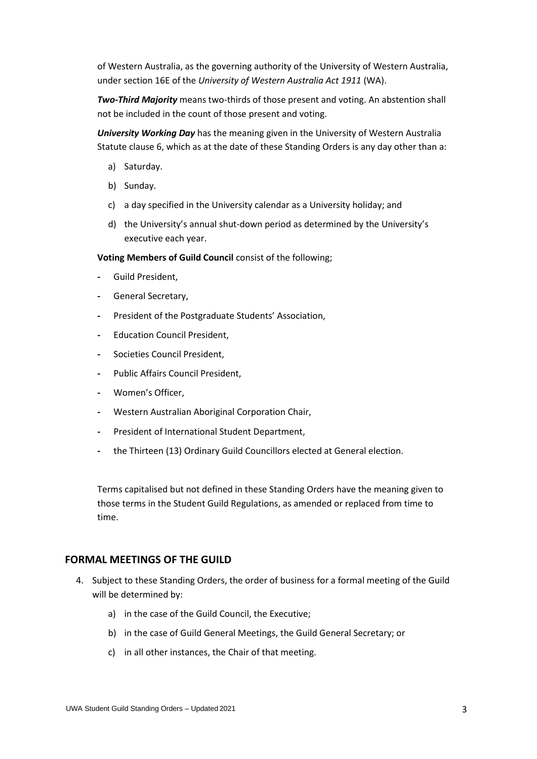of Western Australia, as the governing authority of the University of Western Australia, under section 16E of the *University of Western Australia Act 1911* (WA).

*Two-Third Majority* means two-thirds of those present and voting. An abstention shall not be included in the count of those present and voting.

*University Working Day* has the meaning given in the University of Western Australia Statute clause 6, which as at the date of these Standing Orders is any day other than a:

- a) Saturday.
- b) Sunday.
- c) a day specified in the University calendar as a University holiday; and
- d) the University's annual shut-down period as determined by the University's executive each year.

**Voting Members of Guild Council** consist of the following;

- **-** Guild President,
- **-** General Secretary,
- **-** President of the Postgraduate Students' Association,
- **-** Education Council President,
- **-** Societies Council President,
- **-** Public Affairs Council President,
- **-** Women's Officer,
- **-** Western Australian Aboriginal Corporation Chair,
- **-** President of International Student Department,
- **-** the Thirteen (13) Ordinary Guild Councillors elected at General election.

Terms capitalised but not defined in these Standing Orders have the meaning given to those terms in the Student Guild Regulations, as amended or replaced from time to time.

#### <span id="page-2-0"></span>**FORMAL MEETINGS OF THE GUILD**

- 4. Subject to these Standing Orders, the order of business for a formal meeting of the Guild will be determined by:
	- a) in the case of the Guild Council, the Executive;
	- b) in the case of Guild General Meetings, the Guild General Secretary; or
	- c) in all other instances, the Chair of that meeting.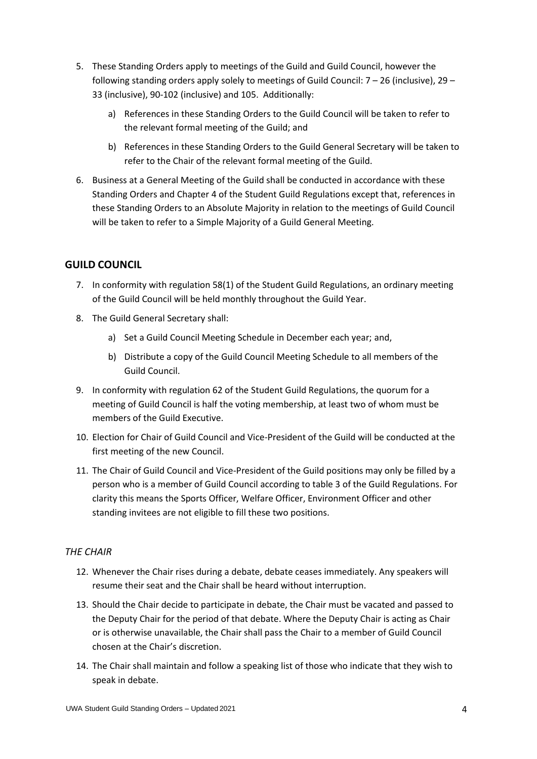- <span id="page-3-2"></span>5. These Standing Orders apply to meetings of the Guild and Guild Council, however the following standing orders apply solely to meetings of Guild Council:  $7 - 26$  $7 - 26$  (inclusive)[, 29](#page-5-4) – [33](#page-6-2) (inclusive)[, 90-](#page-11-3)[102](#page-12-3) (inclusive) and [105.](#page-12-4) Additionally:
	- a) References in these Standing Orders to the Guild Council will be taken to refer to the relevant formal meeting of the Guild; and
	- b) References in these Standing Orders to the Guild General Secretary will be taken to refer to the Chair of the relevant formal meeting of the Guild.
- <span id="page-3-3"></span>6. Business at a General Meeting of the Guild shall be conducted in accordance with these Standing Orders and Chapter 4 of the Student Guild Regulations except that, references in these Standing Orders to an Absolute Majority in relation to the meetings of Guild Council will be taken to refer to a Simple Majority of a Guild General Meeting.

## <span id="page-3-0"></span>**GUILD COUNCIL**

- <span id="page-3-4"></span>7. In conformity with regulation 58(1) of the Student Guild Regulations, an ordinary meeting of the Guild Council will be held monthly throughout the Guild Year.
- 8. The Guild General Secretary shall:
	- a) Set a Guild Council Meeting Schedule in December each year; and,
	- b) Distribute a copy of the Guild Council Meeting Schedule to all members of the Guild Council.
- 9. In conformity with regulation 62 of the Student Guild Regulations, the quorum for a meeting of Guild Council is half the voting membership, at least two of whom must be members of the Guild Executive.
- 10. Election for Chair of Guild Council and Vice-President of the Guild will be conducted at the first meeting of the new Council.
- 11. The Chair of Guild Council and Vice-President of the Guild positions may only be filled by a person who is a member of Guild Council according to table 3 of the Guild Regulations. For clarity this means the Sports Officer, Welfare Officer, Environment Officer and other standing invitees are not eligible to fill these two positions.

## <span id="page-3-1"></span>*THE CHAIR*

- 12. Whenever the Chair rises during a debate, debate ceases immediately. Any speakers will resume their seat and the Chair shall be heard without interruption.
- 13. Should the Chair decide to participate in debate, the Chair must be vacated and passed to the Deputy Chair for the period of that debate. Where the Deputy Chair is acting as Chair or is otherwise unavailable, the Chair shall pass the Chair to a member of Guild Council chosen at the Chair's discretion.
- 14. The Chair shall maintain and follow a speaking list of those who indicate that they wish to speak in debate.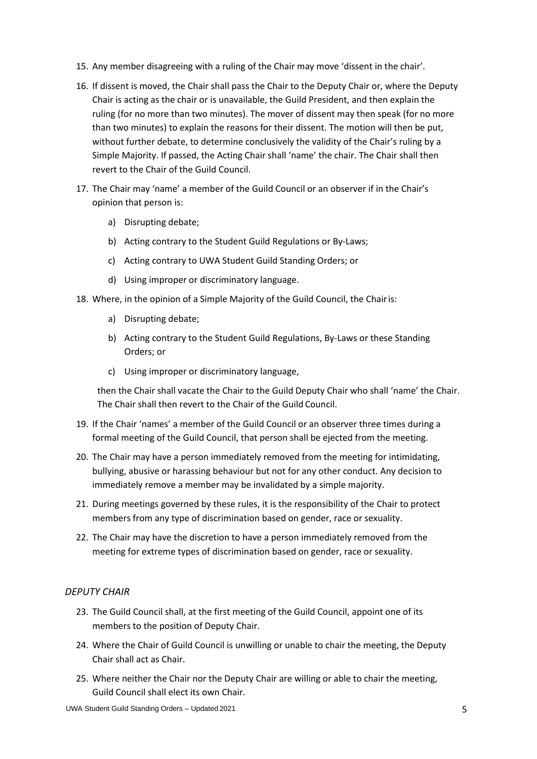- 15. Any member disagreeing with a ruling of the Chair may move 'dissent in the chair'.
- 16. If dissent is moved, the Chair shall pass the Chair to the Deputy Chair or, where the Deputy Chair is acting as the chair or is unavailable, the Guild President, and then explain the ruling (for no more than two minutes). The mover of dissent may then speak (for no more than two minutes) to explain the reasons for their dissent. The motion will then be put, without further debate, to determine conclusively the validity of the Chair's ruling by a Simple Majority. If passed, the Acting Chair shall 'name' the chair. The Chair shall then revert to the Chair of the Guild Council.
- 17. The Chair may 'name' a member of the Guild Council or an observer if in the Chair's opinion that person is:
	- a) Disrupting debate;
	- b) Acting contrary to the Student Guild Regulations or By-Laws;
	- c) Acting contrary to UWA Student Guild Standing Orders; or
	- d) Using improper or discriminatory language.
- 18. Where, in the opinion of a Simple Majority of the Guild Council, the Chairis:
	- a) Disrupting debate;
	- b) Acting contrary to the Student Guild Regulations, By-Laws or these Standing Orders; or
	- c) Using improper or discriminatory language,

then the Chair shall vacate the Chair to the Guild Deputy Chair who shall 'name' the Chair. The Chair shall then revert to the Chair of the Guild Council.

- 19. If the Chair 'names' a member of the Guild Council or an observer three times during a formal meeting of the Guild Council, that person shall be ejected from the meeting.
- 20. The Chair may have a person immediately removed from the meeting for intimidating, bullying, abusive or harassing behaviour but not for any other conduct. Any decision to immediately remove a member may be invalidated by a simple majority.
- 21. During meetings governed by these rules, it is the responsibility of the Chair to protect members from any type of discrimination based on gender, race or sexuality.
- 22. The Chair may have the discretion to have a person immediately removed from the meeting for extreme types of discrimination based on gender, race or sexuality.

### <span id="page-4-0"></span>*DEPUTY CHAIR*

- 23. The Guild Council shall, at the first meeting of the Guild Council, appoint one of its members to the position of Deputy Chair.
- 24. Where the Chair of Guild Council is unwilling or unable to chair the meeting, the Deputy Chair shall act as Chair.
- 25. Where neither the Chair nor the Deputy Chair are willing or able to chair the meeting, Guild Council shall elect its own Chair.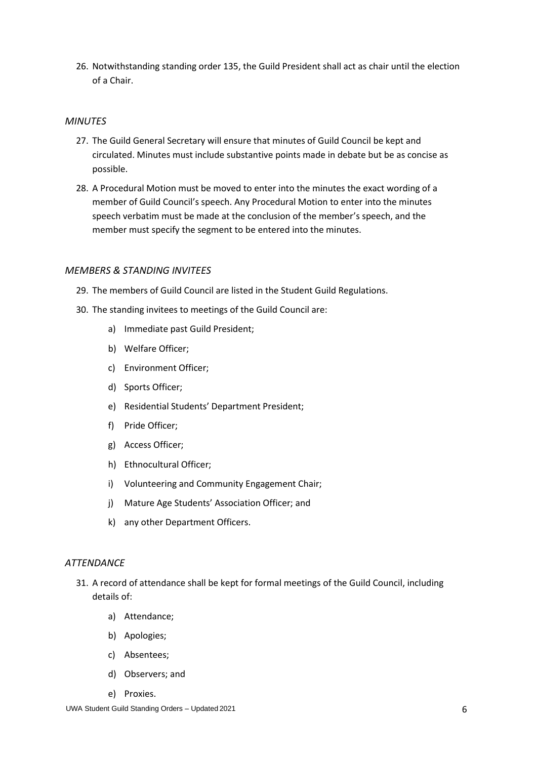<span id="page-5-3"></span>26. Notwithstanding standing orde[r 135,](#page-15-2) the Guild President shall act as chair until the election of a Chair.

#### <span id="page-5-0"></span>*MINUTES*

- 27. The Guild General Secretary will ensure that minutes of Guild Council be kept and circulated. Minutes must include substantive points made in debate but be as concise as possible.
- 28. A Procedural Motion must be moved to enter into the minutes the exact wording of a member of Guild Council's speech. Any Procedural Motion to enter into the minutes speech verbatim must be made at the conclusion of the member's speech, and the member must specify the segment to be entered into the minutes.

#### <span id="page-5-1"></span>*MEMBERS & STANDING INVITEES*

- <span id="page-5-4"></span>29. The members of Guild Council are listed in the Student Guild Regulations.
- 30. The standing invitees to meetings of the Guild Council are:
	- a) Immediate past Guild President;
	- b) Welfare Officer;
	- c) Environment Officer;
	- d) Sports Officer;
	- e) Residential Students' Department President;
	- f) Pride Officer;
	- g) Access Officer;
	- h) Ethnocultural Officer;
	- i) Volunteering and Community Engagement Chair;
	- j) Mature Age Students' Association Officer; and
	- k) any other Department Officers.

#### <span id="page-5-2"></span>*ATTENDANCE*

- 31. A record of attendance shall be kept for formal meetings of the Guild Council, including details of:
	- a) Attendance;
	- b) Apologies;
	- c) Absentees;
	- d) Observers; and
	- e) Proxies.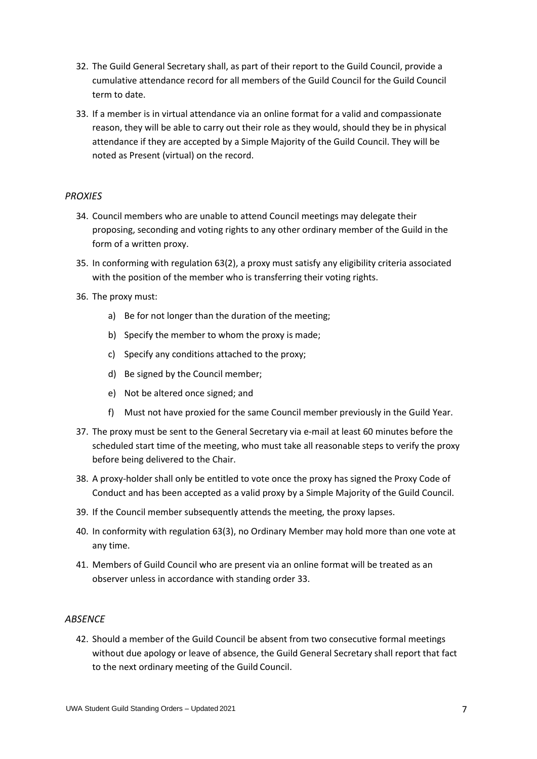- 32. The Guild General Secretary shall, as part of their report to the Guild Council, provide a cumulative attendance record for all members of the Guild Council for the Guild Council term to date.
- <span id="page-6-2"></span>33. If a member is in virtual attendance via an online format for a valid and compassionate reason, they will be able to carry out their role as they would, should they be in physical attendance if they are accepted by a Simple Majority of the Guild Council. They will be noted as Present (virtual) on the record.

## <span id="page-6-0"></span>*PROXIES*

- 34. Council members who are unable to attend Council meetings may delegate their proposing, seconding and voting rights to any other ordinary member of the Guild in the form of a written proxy.
- 35. In conforming with regulation 63(2), a proxy must satisfy any eligibility criteria associated with the position of the member who is transferring their voting rights.
- 36. The proxy must:
	- a) Be for not longer than the duration of the meeting;
	- b) Specify the member to whom the proxy is made;
	- c) Specify any conditions attached to the proxy;
	- d) Be signed by the Council member;
	- e) Not be altered once signed; and
	- f) Must not have proxied for the same Council member previously in the Guild Year.
- 37. The proxy must be sent to the General Secretary via e-mail at least 60 minutes before the scheduled start time of the meeting, who must take all reasonable steps to verify the proxy before being delivered to the Chair.
- 38. A proxy-holder shall only be entitled to vote once the proxy has signed the Proxy Code of Conduct and has been accepted as a valid proxy by a Simple Majority of the Guild Council.
- 39. If the Council member subsequently attends the meeting, the proxy lapses.
- 40. In conformity with regulation 63(3), no Ordinary Member may hold more than one vote at any time.
- 41. Members of Guild Council who are present via an online format will be treated as an observer unless in accordance with standing order 33.

### <span id="page-6-1"></span>*ABSENCE*

42. Should a member of the Guild Council be absent from two consecutive formal meetings without due apology or leave of absence, the Guild General Secretary shall report that fact to the next ordinary meeting of the Guild Council.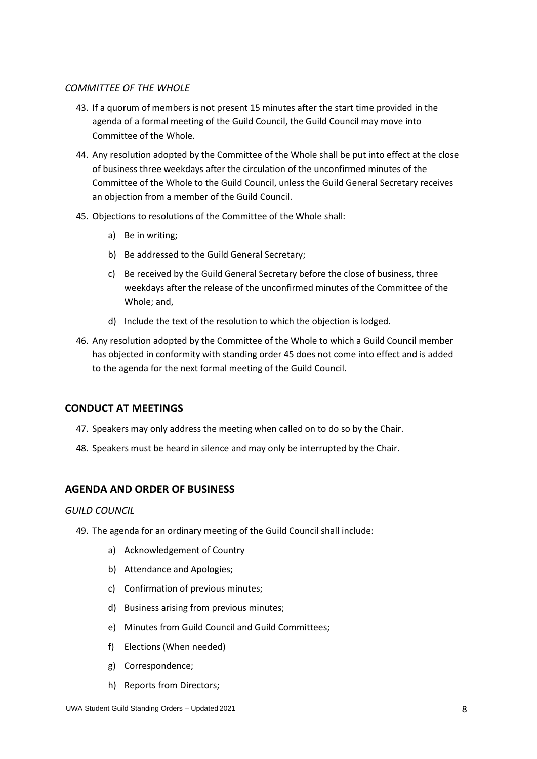#### <span id="page-7-0"></span>*COMMITTEE OF THE WHOLE*

- 43. If a quorum of members is not present 15 minutes after the start time provided in the agenda of a formal meeting of the Guild Council, the Guild Council may move into Committee of the Whole.
- 44. Any resolution adopted by the Committee of the Whole shall be put into effect at the close of business three weekdays after the circulation of the unconfirmed minutes of the Committee of the Whole to the Guild Council, unless the Guild General Secretary receives an objection from a member of the Guild Council.
- <span id="page-7-4"></span>45. Objections to resolutions of the Committee of the Whole shall:
	- a) Be in writing;
	- b) Be addressed to the Guild General Secretary;
	- c) Be received by the Guild General Secretary before the close of business, three weekdays after the release of the unconfirmed minutes of the Committee of the Whole; and,
	- d) Include the text of the resolution to which the objection is lodged.
- 46. Any resolution adopted by the Committee of the Whole to which a Guild Council member has objected in conformity with standing order [45](#page-7-4) does not come into effect and is added to the agenda for the next formal meeting of the Guild Council.

#### <span id="page-7-1"></span>**CONDUCT AT MEETINGS**

- 47. Speakers may only address the meeting when called on to do so by the Chair.
- 48. Speakers must be heard in silence and may only be interrupted by the Chair.

### <span id="page-7-2"></span>**AGENDA AND ORDER OF BUSINESS**

#### <span id="page-7-3"></span>*GUILD COUNCIL*

- 49. The agenda for an ordinary meeting of the Guild Council shall include:
	- a) Acknowledgement of Country
	- b) Attendance and Apologies;
	- c) Confirmation of previous minutes;
	- d) Business arising from previous minutes;
	- e) Minutes from Guild Council and Guild Committees;
	- f) Elections (When needed)
	- g) Correspondence;
	- h) Reports from Directors;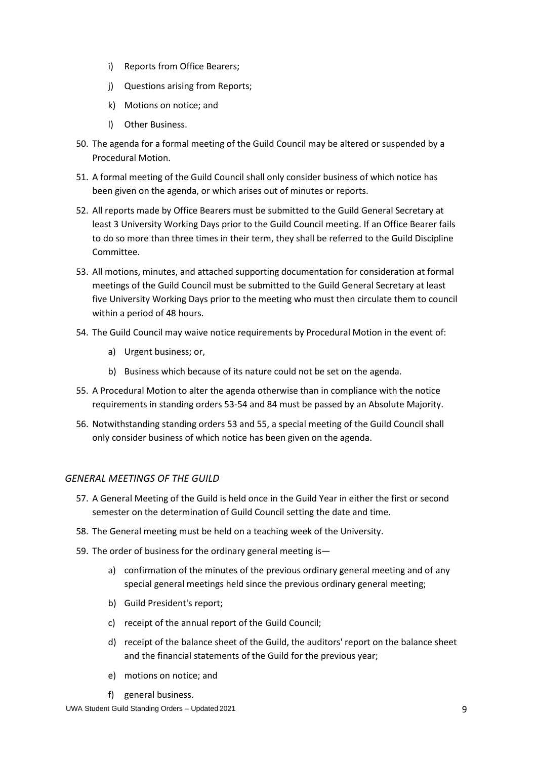- i) Reports from Office Bearers;
- j) Questions arising from Reports;
- k) Motions on notice; and
- l) Other Business.
- 50. The agenda for a formal meeting of the Guild Council may be altered or suspended by a Procedural Motion.
- 51. A formal meeting of the Guild Council shall only consider business of which notice has been given on the agenda, or which arises out of minutes or reports.
- 52. All reports made by Office Bearers must be submitted to the Guild General Secretary at least 3 University Working Days prior to the Guild Council meeting. If an Office Bearer fails to do so more than three times in their term, they shall be referred to the Guild Discipline Committee.
- <span id="page-8-1"></span>53. All motions, minutes, and attached supporting documentation for consideration at formal meetings of the Guild Council must be submitted to the Guild General Secretary at least five University Working Days prior to the meeting who must then circulate them to council within a period of 48 hours.
- <span id="page-8-2"></span>54. The Guild Council may waive notice requirements by Procedural Motion in the event of:
	- a) Urgent business; or,
	- b) Business which because of its nature could not be set on the agenda.
- <span id="page-8-3"></span>55. A Procedural Motion to alter the agenda otherwise than in compliance with the notice requirements in standing order[s 53](#page-8-1)[-54](#page-8-2) and [84](#page-11-4) must be passed by an Absolute Majority.
- 56. Notwithstanding standing orders [53](#page-8-1) and [55,](#page-8-3) a special meeting of the Guild Council shall only consider business of which notice has been given on the agenda.

### <span id="page-8-0"></span>*GENERAL MEETINGS OF THE GUILD*

- 57. A General Meeting of the Guild is held once in the Guild Year in either the first or second semester on the determination of Guild Council setting the date and time.
- 58. The General meeting must be held on a teaching week of the University.
- 59. The order of business for the ordinary general meeting is
	- a) confirmation of the minutes of the previous ordinary general meeting and of any special general meetings held since the previous ordinary general meeting;
	- b) Guild President's report;
	- c) receipt of the annual report of the [Guild Council;](https://www.governance.uwa.edu.au/regulations/guild/guild-council)
	- d) receipt of the balance sheet of the Guild, the auditors' report on the balance sheet and the financial statements of the Guild for the previous year;
	- e) motions on notice; and
	- f) general business.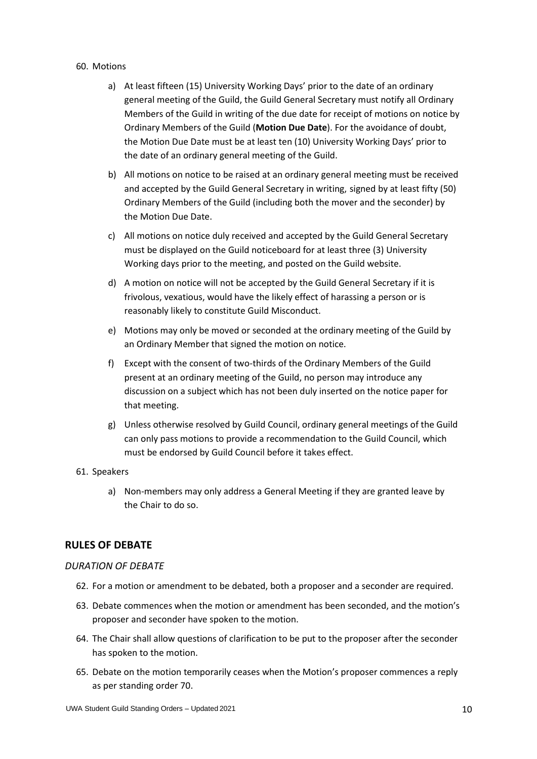#### 60. Motions

- a) At least fifteen (15) University Working Days' prior to the date of an ordinary general meeting of the Guild, the Guild General Secretary must notify all Ordinary Members of the Guild in writing of the due date for receipt of motions on notice by Ordinary Members of the Guild (**Motion Due Date**). For the avoidance of doubt, the Motion Due Date must be at least ten (10) University Working Days' prior to the date of an ordinary general meeting of the Guild.
- b) All motions on notice to be raised at an ordinary general meeting must be received and accepted by the Guild General Secretary in writing, signed by at least fifty (50) Ordinary Members of the Guild (including both the mover and the seconder) by the Motion Due Date.
- c) All motions on notice duly received and accepted by the Guild General Secretary must be displayed on the Guild noticeboard for at least three (3) University Working days prior to the meeting, and posted on the Guild website.
- d) A motion on notice will not be accepted by the Guild General Secretary if it is frivolous, vexatious, would have the likely effect of harassing a person or is reasonably likely to constitute Guild Misconduct.
- e) Motions may only be moved or seconded at the ordinary meeting of the Guild by an Ordinary Member that signed the motion on notice.
- f) Except with the consent of two-thirds of the Ordinary Members of the Guild present at an ordinary meeting of the Guild, no person may introduce any discussion on a subject which has not been duly inserted on the notice paper for that meeting.
- g) Unless otherwise resolved by Guild Council, ordinary general meetings of the Guild can only pass motions to provide a recommendation to the Guild Council, which must be endorsed by Guild Council before it takes effect.

#### 61. Speakers

a) Non-members may only address a General Meeting if they are granted leave by the Chair to do so.

## <span id="page-9-0"></span>**RULES OF DEBATE**

### <span id="page-9-1"></span>*DURATION OF DEBATE*

- 62. For a motion or amendment to be debated, both a proposer and a seconder are required.
- 63. Debate commences when the motion or amendment has been seconded, and the motion's proposer and seconder have spoken to the motion.
- 64. The Chair shall allow questions of clarification to be put to the proposer after the seconder has spoken to the motion.
- <span id="page-9-2"></span>65. Debate on the motion temporarily ceases when the Motion's proposer commences a reply as per standing order [70.](#page-10-2)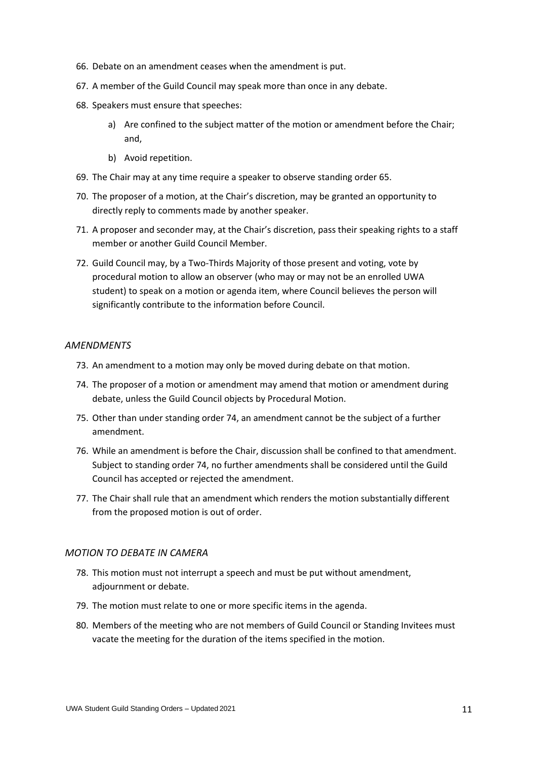- 66. Debate on an amendment ceases when the amendment is put.
- 67. A member of the Guild Council may speak more than once in any debate.
- 68. Speakers must ensure that speeches:
	- a) Are confined to the subject matter of the motion or amendment before the Chair; and,
	- b) Avoid repetition.
- 69. The Chair may at any time require a speaker to observe standing order [65.](#page-9-2)
- <span id="page-10-2"></span>70. The proposer of a motion, at the Chair's discretion, may be granted an opportunity to directly reply to comments made by another speaker.
- 71. A proposer and seconder may, at the Chair's discretion, pass their speaking rights to a staff member or another Guild Council Member.
- 72. Guild Council may, by a Two-Thirds Majority of those present and voting, vote by procedural motion to allow an observer (who may or may not be an enrolled UWA student) to speak on a motion or agenda item, where Council believes the person will significantly contribute to the information before Council.

#### <span id="page-10-0"></span>*AMENDMENTS*

- 73. An amendment to a motion may only be moved during debate on that motion.
- <span id="page-10-3"></span>74. The proposer of a motion or amendment may amend that motion or amendment during debate, unless the Guild Council objects by Procedural Motion.
- 75. Other than under standing order [74,](#page-10-3) an amendment cannot be the subject of a further amendment.
- 76. While an amendment is before the Chair, discussion shall be confined to that amendment. Subject to standing order [74,](#page-10-3) no further amendments shall be considered until the Guild Council has accepted or rejected the amendment.
- 77. The Chair shall rule that an amendment which renders the motion substantially different from the proposed motion is out of order.

#### <span id="page-10-1"></span>*MOTION TO DEBATE IN CAMERA*

- 78. This motion must not interrupt a speech and must be put without amendment, adjournment or debate.
- 79. The motion must relate to one or more specific items in the agenda.
- 80. Members of the meeting who are not members of Guild Council or Standing Invitees must vacate the meeting for the duration of the items specified in the motion.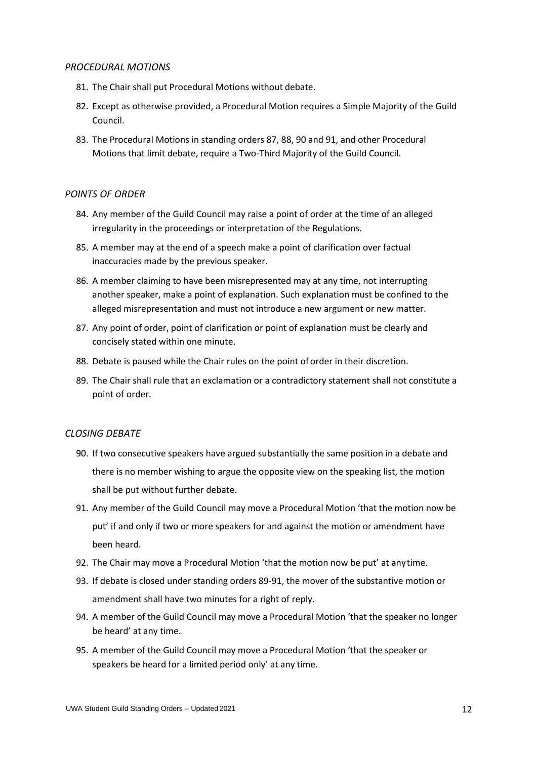#### <span id="page-11-0"></span>*PROCEDURAL MOTIONS*

- 81. The Chair shall put Procedural Motions without debate.
- <span id="page-11-7"></span>82. Except as otherwise provided, a Procedural Motion requires a Simple Majority of the Guild Council.
- 83. The Procedural Motions in standing orders 87, 88, 90 and 91, and other Procedural Motions that limit debate, require a Two-Third Majority of the Guild Council.

#### <span id="page-11-1"></span>*POINTS OF ORDER*

- <span id="page-11-4"></span>84. Any member of the Guild Council may raise a point of order at the time of an alleged irregularity in the proceedings or interpretation of the Regulations.
- 85. A member may at the end of a speech make a point of clarification over factual inaccuracies made by the previous speaker.
- 86. A member claiming to have been misrepresented may at any time, not interrupting another speaker, make a point of explanation. Such explanation must be confined to the alleged misrepresentation and must not introduce a new argument or new matter.
- 87. Any point of order, point of clarification or point of explanation must be clearly and concisely stated within one minute.
- 88. Debate is paused while the Chair rules on the point of order in their discretion.
- <span id="page-11-5"></span>89. The Chair shall rule that an exclamation or a contradictory statement shall not constitute a point of order.

#### <span id="page-11-2"></span>*CLOSING DEBATE*

- <span id="page-11-3"></span>90. If two consecutive speakers have argued substantially the same position in a debate and there is no member wishing to argue the opposite view on the speaking list, the motion shall be put without further debate.
- <span id="page-11-6"></span>91. Any member of the Guild Council may move a Procedural Motion 'that the motion now be put' if and only if two or more speakers for and against the motion or amendment have been heard.
- 92. The Chair may move a Procedural Motion 'that the motion now be put' at anytime.
- 93. If debate is closed under standing orders [89](#page-11-5)[-91,](#page-11-6) the mover of the substantive motion or amendment shall have two minutes for a right of reply.
- 94. A member of the Guild Council may move a Procedural Motion 'that the speaker no longer be heard' at any time.
- 95. A member of the Guild Council may move a Procedural Motion 'that the speaker or speakers be heard for a limited period only' at any time.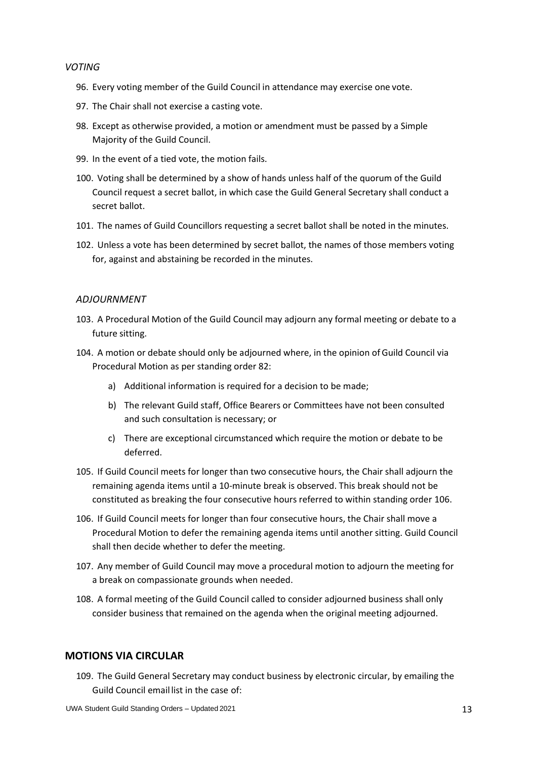#### <span id="page-12-0"></span>*VOTING*

- 96. Every voting member of the Guild Council in attendance may exercise one vote.
- 97. The Chair shall not exercise a casting vote.
- 98. Except as otherwise provided, a motion or amendment must be passed by a Simple Majority of the Guild Council.
- 99. In the event of a tied vote, the motion fails.
- 100. Voting shall be determined by a show of hands unless half of the quorum of the Guild Council request a secret ballot, in which case the Guild General Secretary shall conduct a secret ballot.
- 101. The names of Guild Councillors requesting a secret ballot shall be noted in the minutes.
- <span id="page-12-3"></span>102. Unless a vote has been determined by secret ballot, the names of those members voting for, against and abstaining be recorded in the minutes.

#### <span id="page-12-1"></span>*ADJOURNMENT*

- 103. A Procedural Motion of the Guild Council may adjourn any formal meeting or debate to a future sitting.
- 104. A motion or debate should only be adjourned where, in the opinion ofGuild Council via Procedural Motion as per standing orde[r 82:](#page-11-7)
	- a) Additional information is required for a decision to be made;
	- b) The relevant Guild staff, Office Bearers or Committees have not been consulted and such consultation is necessary; or
	- c) There are exceptional circumstanced which require the motion or debate to be deferred.
- <span id="page-12-4"></span>105. If Guild Council meets for longer than two consecutive hours, the Chair shall adjourn the remaining agenda items until a 10-minute break is observed. This break should not be constituted as breaking the four consecutive hours referred to within standing order [106.](#page-12-5)
- <span id="page-12-5"></span>106. If Guild Council meets for longer than four consecutive hours, the Chair shall move a Procedural Motion to defer the remaining agenda items until another sitting. Guild Council shall then decide whether to defer the meeting.
- 107. Any member of Guild Council may move a procedural motion to adjourn the meeting for a break on compassionate grounds when needed.
- 108. A formal meeting of the Guild Council called to consider adjourned business shall only consider business that remained on the agenda when the original meeting adjourned.

#### <span id="page-12-2"></span>**MOTIONS VIA CIRCULAR**

109. The Guild General Secretary may conduct business by electronic circular, by emailing the Guild Council email list in the case of: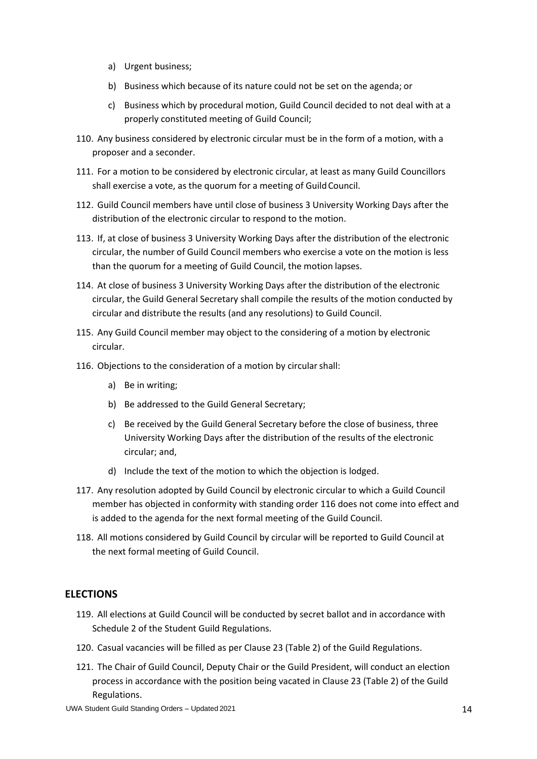- a) Urgent business;
- b) Business which because of its nature could not be set on the agenda; or
- c) Business which by procedural motion, Guild Council decided to not deal with at a properly constituted meeting of Guild Council;
- 110. Any business considered by electronic circular must be in the form of a motion, with a proposer and a seconder.
- 111. For a motion to be considered by electronic circular, at least as many Guild Councillors shall exercise a vote, as the quorum for a meeting of GuildCouncil.
- 112. Guild Council members have until close of business 3 University Working Days after the distribution of the electronic circular to respond to the motion.
- 113. If, at close of business 3 University Working Days after the distribution of the electronic circular, the number of Guild Council members who exercise a vote on the motion is less than the quorum for a meeting of Guild Council, the motion lapses.
- 114. At close of business 3 University Working Days after the distribution of the electronic circular, the Guild General Secretary shall compile the results of the motion conducted by circular and distribute the results (and any resolutions) to Guild Council.
- 115. Any Guild Council member may object to the considering of a motion by electronic circular.
- <span id="page-13-1"></span>116. Objections to the consideration of a motion by circular shall:
	- a) Be in writing;
	- b) Be addressed to the Guild General Secretary;
	- c) Be received by the Guild General Secretary before the close of business, three University Working Days after the distribution of the results of the electronic circular; and,
	- d) Include the text of the motion to which the objection is lodged.
- 117. Any resolution adopted by Guild Council by electronic circular to which a Guild Council member has objected in conformity with standing order [116](#page-13-1) does not come into effect and is added to the agenda for the next formal meeting of the Guild Council.
- 118. All motions considered by Guild Council by circular will be reported to Guild Council at the next formal meeting of Guild Council.

## <span id="page-13-0"></span>**ELECTIONS**

- 119. All elections at Guild Council will be conducted by secret ballot and in accordance with Schedule 2 of the Student Guild Regulations.
- 120. Casual vacancies will be filled as per Clause 23 (Table 2) of the Guild Regulations.
- 121. The Chair of Guild Council, Deputy Chair or the Guild President, will conduct an election process in accordance with the position being vacated in Clause 23 (Table 2) of the Guild Regulations.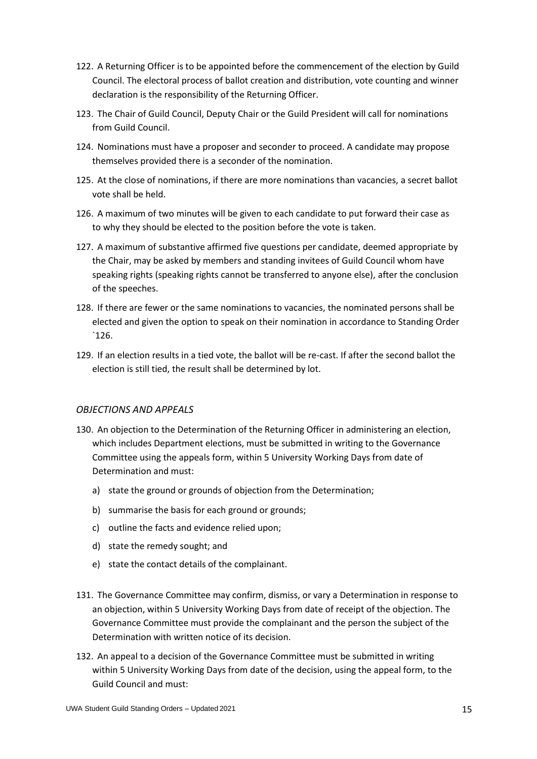- 122. A Returning Officer is to be appointed before the commencement of the election by Guild Council. The electoral process of ballot creation and distribution, vote counting and winner declaration is the responsibility of the Returning Officer.
- 123. The Chair of Guild Council, Deputy Chair or the Guild President will call for nominations from Guild Council.
- 124. Nominations must have a proposer and seconder to proceed. A candidate may propose themselves provided there is a seconder of the nomination.
- 125. At the close of nominations, if there are more nominations than vacancies, a secret ballot vote shall be held.
- 126. A maximum of two minutes will be given to each candidate to put forward their case as to why they should be elected to the position before the vote is taken.
- 127. A maximum of substantive affirmed five questions per candidate, deemed appropriate by the Chair, may be asked by members and standing invitees of Guild Council whom have speaking rights (speaking rights cannot be transferred to anyone else), after the conclusion of the speeches.
- 128. If there are fewer or the same nominations to vacancies, the nominated persons shall be elected and given the option to speak on their nomination in accordance to Standing Order `126.
- 129. If an election results in a tied vote, the ballot will be re-cast. If after the second ballot the election is still tied, the result shall be determined by lot.

#### <span id="page-14-0"></span>*OBJECTIONS AND APPEALS*

- 130. An objection to the Determination of the Returning Officer in administering an election, which includes Department elections, must be submitted in writing to the Governance Committee using the appeals form, within 5 University Working Days from date of Determination and must:
	- a) state the ground or grounds of objection from the Determination;
	- b) summarise the basis for each ground or grounds;
	- c) outline the facts and evidence relied upon;
	- d) state the remedy sought; and
	- e) state the contact details of the complainant.
- 131. The Governance Committee may confirm, dismiss, or vary a Determination in response to an objection, within 5 University Working Days from date of receipt of the objection. The Governance Committee must provide the complainant and the person the subject of the Determination with written notice of its decision.
- 132. An appeal to a decision of the Governance Committee must be submitted in writing within 5 University Working Days from date of the decision, using the appeal form, to the Guild Council and must: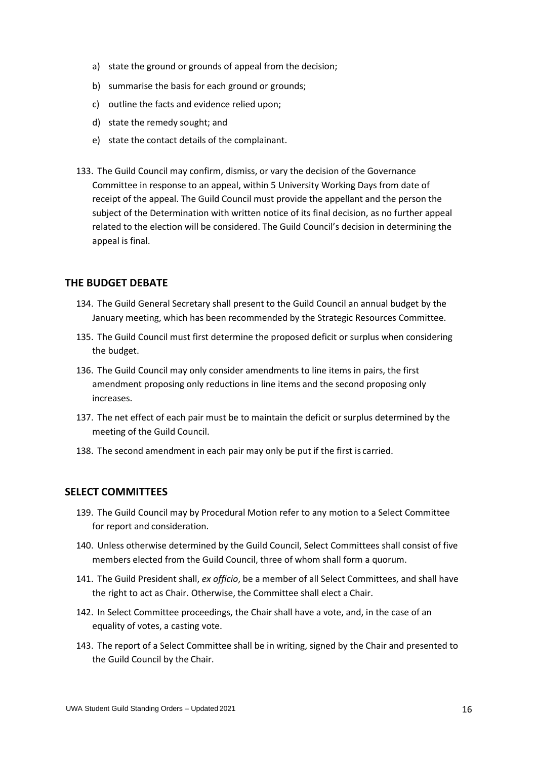- a) state the ground or grounds of appeal from the decision;
- b) summarise the basis for each ground or grounds;
- c) outline the facts and evidence relied upon;
- d) state the remedy sought; and
- e) state the contact details of the complainant.
- 133. The Guild Council may confirm, dismiss, or vary the decision of the Governance Committee in response to an appeal, within 5 University Working Days from date of receipt of the appeal. The Guild Council must provide the appellant and the person the subject of the Determination with written notice of its final decision, as no further appeal related to the election will be considered. The Guild Council's decision in determining the appeal is final.

## <span id="page-15-0"></span>**THE BUDGET DEBATE**

- 134. The Guild General Secretary shall present to the Guild Council an annual budget by the January meeting, which has been recommended by the Strategic Resources Committee.
- <span id="page-15-2"></span>135. The Guild Council must first determine the proposed deficit or surplus when considering the budget.
- 136. The Guild Council may only consider amendments to line items in pairs, the first amendment proposing only reductions in line items and the second proposing only increases.
- 137. The net effect of each pair must be to maintain the deficit or surplus determined by the meeting of the Guild Council.
- 138. The second amendment in each pair may only be put if the first is carried.

### <span id="page-15-1"></span>**SELECT COMMITTEES**

- 139. The Guild Council may by Procedural Motion refer to any motion to a Select Committee for report and consideration.
- 140. Unless otherwise determined by the Guild Council, Select Committees shall consist of five members elected from the Guild Council, three of whom shall form a quorum.
- 141. The Guild President shall, *ex officio*, be a member of all Select Committees, and shall have the right to act as Chair. Otherwise, the Committee shall elect a Chair.
- 142. In Select Committee proceedings, the Chair shall have a vote, and, in the case of an equality of votes, a casting vote.
- 143. The report of a Select Committee shall be in writing, signed by the Chair and presented to the Guild Council by the Chair.